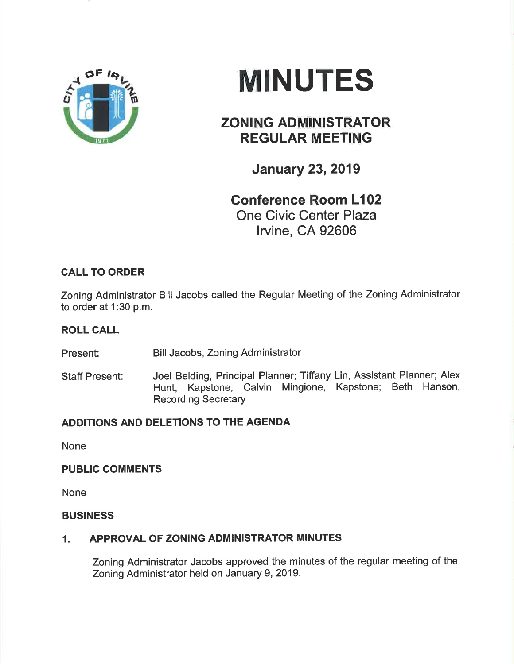

# MINUTES

## ZONING ADMINISTRATOR REGULAR MEETING

January 23,2019

Gonference Room L102 One Civic Center Plaza lrvine, CA 92606

## CALL TO ORDER

Zoning Administrator Bill Jacobs called the Regular Meeting of the Zoning Administrator to order at 1:30 p.m.

#### ROLL CALL

Present: Bill Jacobs, Zoning Administrator

Staff Present: Joel Belding, Principal Planner; Tiffany Lin, Assistant Planner; Alex Hunt, Kapstone; Calvin Mingione, Kapstone; Beth Hanson, Recording Secretary

### ADDITIONS AND DELETIONS TO THE AGENDA

None

#### PUBLIC COMMENTS

None

#### BUSINESS

#### 1. APPROVAL OF ZONING ADMINISTRATOR MINUTES

Zoning Administrator Jacobs approved the minutes of the regular meeting of the Zoning Administrator held on January 9,2019.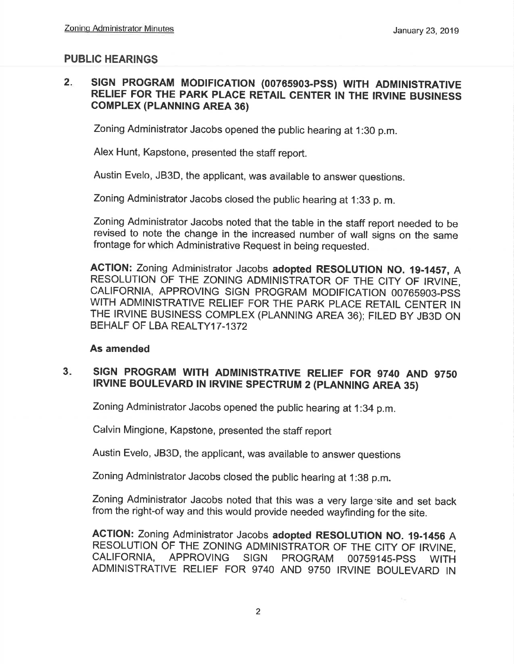### PUBLIC HEARINGS

#### $2.$ SIGN PROGRAM MODIFICATION (00765903-PSS) WITH ADMINISTRATIVE RELIEF FOR THE PARK PLACE RETAIL CENTER IN THE IRVINE BUSINESS GoMPLEX (PLANN|NG AREA 36)

Zoning Administrator Jacobs opened the public hearing at 1:30 p.m.

Alex Hunt, Kapstone, presented the staff report.

Austin Evelo, JB3D, the applicant, was available to answer questions.

Zoning Administrator Jacobs closed the public hearing at 1:33 p. m.

Zoning Administrator Jacobs noted that the table in the staff report needed to be revised to note the change in the increased number of wall signs on the same frontage for which Administrative Request in being requested.

ACTION: Zoning Administrator Jacobs adopted RESOLUTION NO. 19-1457, A RESOLUTION OF THE ZONING ADMINISTRATOR OF THE CITY OF IRVINE, CALIFORNIA, APPROVING SIGN PROGRAM MODIFICATION OO7659O3.PSS WITH ADMINISTRATIVE RELIEF FOR THE PARK PLACE RETAIL CENTER IN THE IRVINE BUSINESS COMPLEX (PLANNING AREA 36); FILED BY JB3D ON BEHALF OF LBA REALTY17-1372

#### As amended

#### SIGN PROGRAM WITH ADMINISTRATIVE RELIEF FOR 9740 AND 9750 IRVINE BOULEVARD IN IRVINE SPECTRUM 2 (PLANNING AREA 35)  $3<sub>1</sub>$

Zoning Administrator Jacobs opened the public hearing at 1:34 p.m.

Calvin Mingione, Kapstone, presented the staff report

Austin Evelo, JB3D, the applicant, was available to answer questions

Zoning Administrator Jacobs closed the public hearing at 1:3g p.m.

Zoning Administrator Jacobs noted that this was a very large'site and set back from the right-of way and this would provide needed wayfinding for the site.

AGTION: Zoning Administrator Jacobs adopted RESOLUTION No. 19-14s6 A RESOLUTION OF THE ZONING ADMINISTRATOR OF THE CITY OF IRVINE, CALIFORNIA, APPROVING SIGN PROGRAM 00759145-PSS WITH ADMINISTRATIVE RELIEF FOR 9740 AND 9750 IRVINE BOULEVARD IN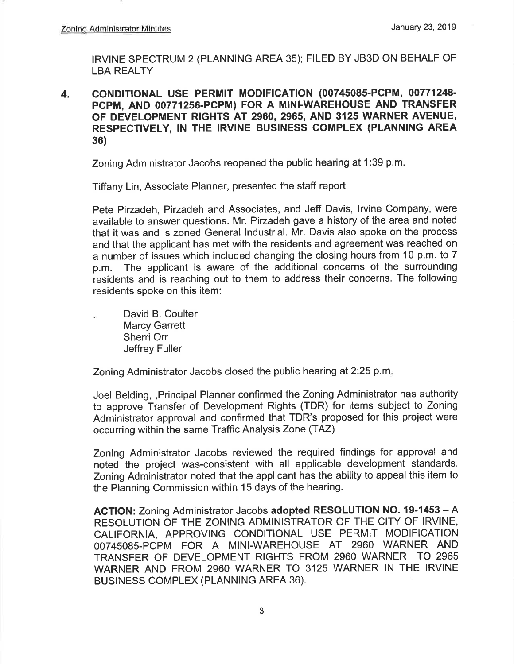IRVINE SPECTRUM 2 (PLANNING AREA 35); FILED BY JB3D ON BEHALF OF LBA REALTY

4. CONDITIONAL USE PERMIT MODIFICATION (00745085-PCPM, 00771248-PCPM, AND 00771256-PCPM) FOR A MINI-WAREHOUSE AND TRANSFER OF DEVELOPMENT RIGHTS AT 2960, 2965, AND 3125 WARNER AVENUE, RESPECTIVELY, IN THE IRVINE BUSINESS COMPLEX (PLANNING AREA 36)

Zoning Administrator Jacobs reopened the public hearing at 1:39 p.m.

Tiffany Lin, Associate Planner, presented the staff report

Pete Pirzadeh, Pirzadeh and Associates, and Jeff Davis, Irvine Company, were available to answer questions. Mr. Pizadeh gave a history of the area and noted that it was and is zoned General lndustrial. Mr. Davis also spoke on the process and that the applicant has met with the residents and agreement was reached on a number of issues which included changing the closing hours from 10 p.m. to 7 p.m. The applicant is aware of the additional concerns of the surrounding residents and is reaching out to them to address their concerns. The following residents spoke on this item:

David B. Coulter Marcy Garrett Sherri Orr Jeffrey Fuller

Zoning Administrator Jacobs closed the public hearing at 2:25 p.m.

Joel Belding, ,Principal Planner confirmed the Zoning Administrator has authority to approve Transfer of Development Rights (TDR) for items subject to Zoning Administrator approval and confirmed that TDR's proposed for this project were occurring within the same Traffic Analysis Zone (TAZ)

Zoning Administrator Jacobs reviewed the required findings for approval and noted the project was-consistent with all applicable development standards. Zoning Administrator noted that the applicant has the ability to appeal this item to the Planning Commission within 15 days of the hearing.

ACTION: Zoning Administrator Jacobs adopted RESOLUTION NO. 19-1453 - A RESOLUTION OF THE ZONING ADMINISTRATOR OF THE CITY OF IRVINE, CALIFORNIA, APPROVING CONDITIONAL USE PERMIT MODIFICATION 00745085-PCPM FOR A MINI-WAREHOUSE AT 2960 WARNER AND TRANSFER OF DEVELOPMENT RIGHTS FROM 2960 WARNER TO 2965 WARNER AND FROM 2960 WARNER TO 3125 WARNER IN THE IRVINE BUSINESS COMPLEX (PLANNING AREA 36).